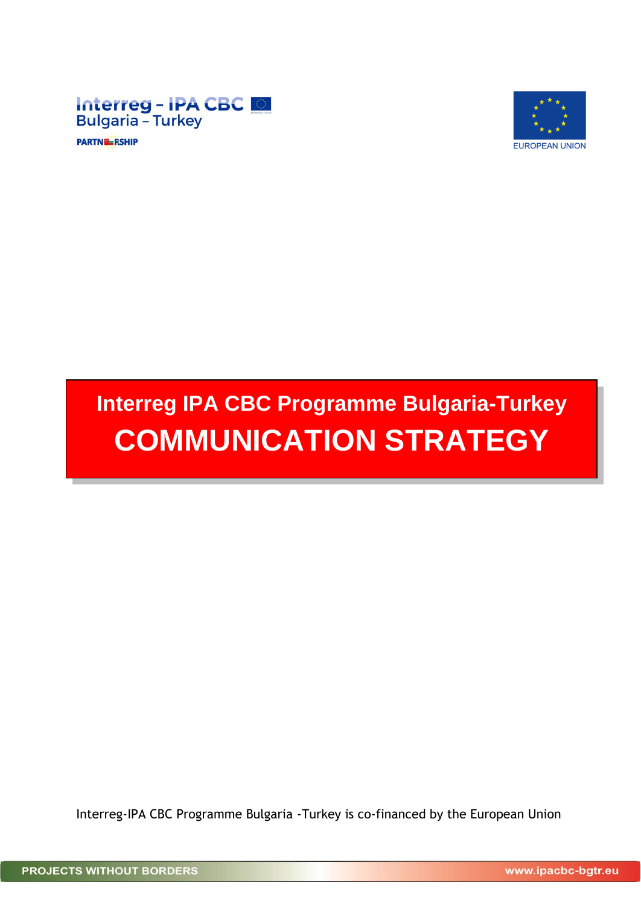

**PARTNE RSHIP** 



# **Interreg IPA CBC Programme Bulgaria-Turkey COMMUNICATION STRATEGY**

Interreg-IPA CBC Programme Bulgaria -Turkey is co-financed by the European Union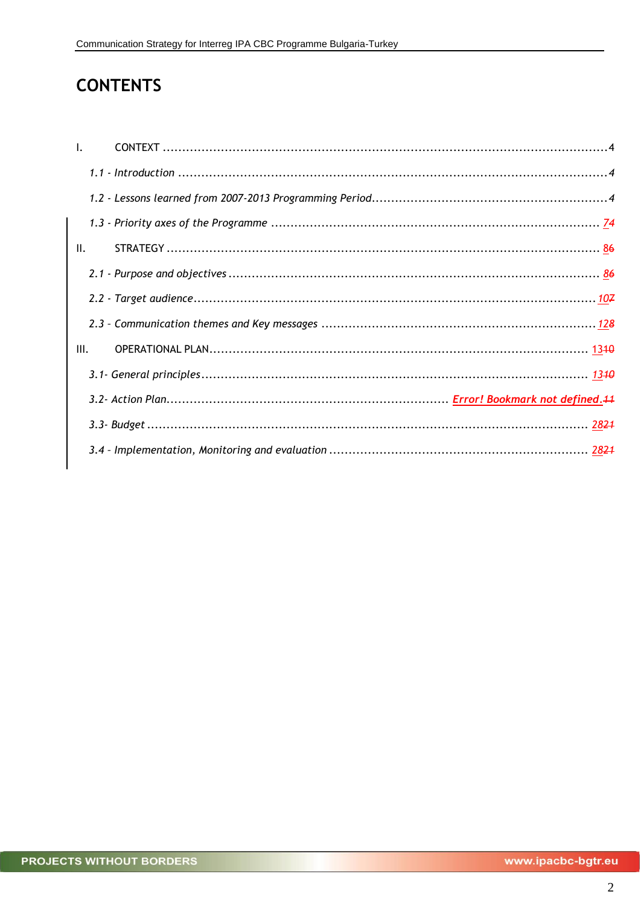# **CONTENTS**

| $\mathbf{L}$ |  |
|--------------|--|
|              |  |
|              |  |
|              |  |
| II.          |  |
|              |  |
|              |  |
|              |  |
| III.         |  |
|              |  |
|              |  |
|              |  |
|              |  |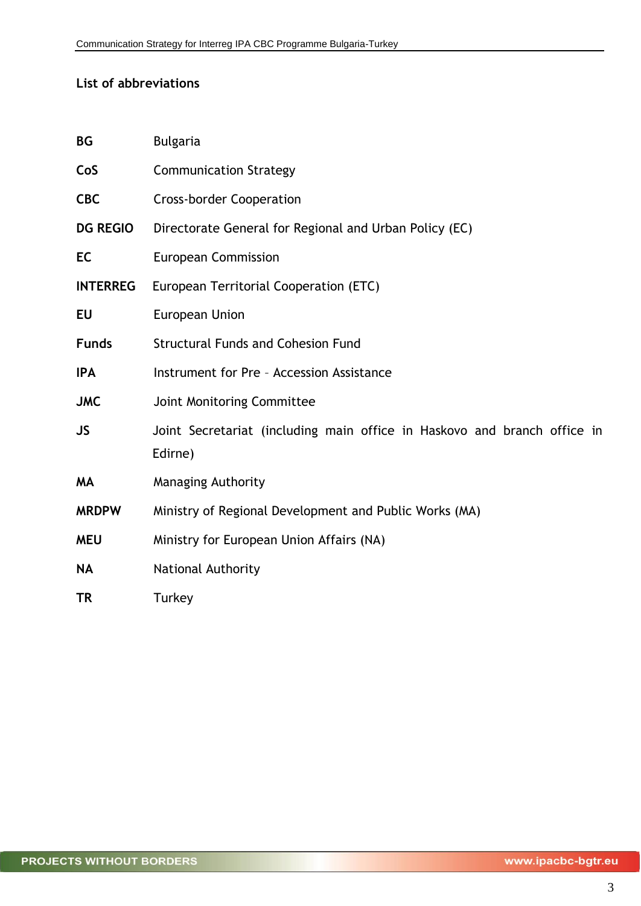## **List of abbreviations**

| <b>BG</b>       | <b>Bulgaria</b>                                                                     |
|-----------------|-------------------------------------------------------------------------------------|
| CoS             | <b>Communication Strategy</b>                                                       |
| <b>CBC</b>      | <b>Cross-border Cooperation</b>                                                     |
| <b>DG REGIO</b> | Directorate General for Regional and Urban Policy (EC)                              |
| EC              | <b>European Commission</b>                                                          |
| <b>INTERREG</b> | European Territorial Cooperation (ETC)                                              |
| EU              | <b>European Union</b>                                                               |
| <b>Funds</b>    | <b>Structural Funds and Cohesion Fund</b>                                           |
| <b>IPA</b>      | Instrument for Pre - Accession Assistance                                           |
| <b>JMC</b>      | Joint Monitoring Committee                                                          |
| <b>JS</b>       | Joint Secretariat (including main office in Haskovo and branch office in<br>Edirne) |
| <b>MA</b>       | <b>Managing Authority</b>                                                           |
| <b>MRDPW</b>    | Ministry of Regional Development and Public Works (MA)                              |
| <b>MEU</b>      | Ministry for European Union Affairs (NA)                                            |
| <b>NA</b>       | National Authority                                                                  |
| TR              | Turkey                                                                              |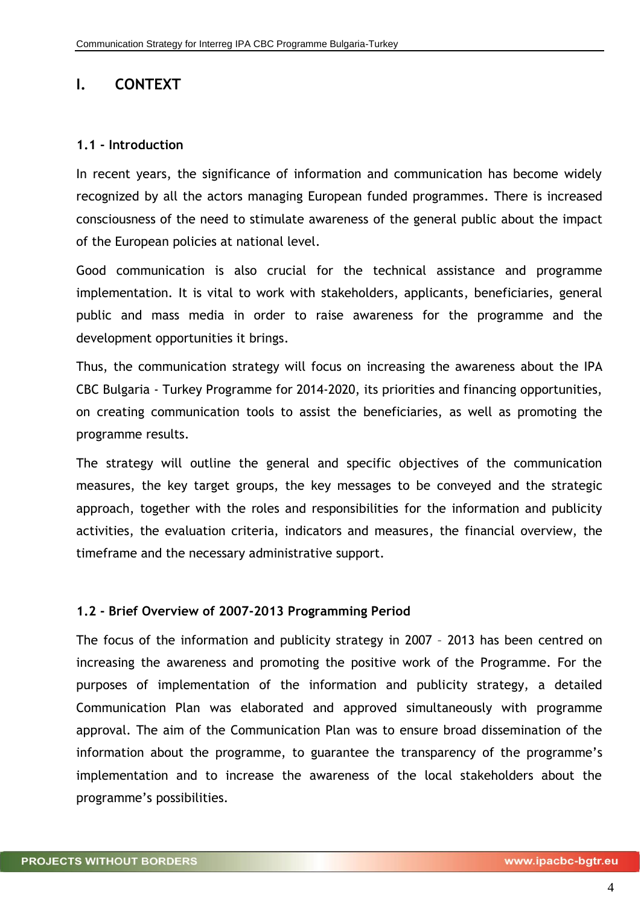# <span id="page-3-0"></span>**I. CONTEXT**

## <span id="page-3-1"></span>**1.1 - Introduction**

In recent years, the significance of information and communication has become widely recognized by all the actors managing European funded programmes. There is increased consciousness of the need to stimulate awareness of the general public about the impact of the European policies at national level.

Good communication is also crucial for the technical assistance and programme implementation. It is vital to work with stakeholders, applicants, beneficiaries, general public and mass media in order to raise awareness for the programme and the development opportunities it brings.

Thus, the communication strategy will focus on increasing the awareness about the IPA CBC Bulgaria - Turkey Programme for 2014-2020, its priorities and financing opportunities, on creating communication tools to assist the beneficiaries, as well as promoting the programme results.

The strategy will outline the general and specific objectives of the communication measures, the key target groups, the key messages to be conveyed and the strategic approach, together with the roles and responsibilities for the information and publicity activities, the evaluation criteria, indicators and measures, the financial overview, the timeframe and the necessary administrative support.

# <span id="page-3-2"></span>**1.2 - Brief Overview of 2007-2013 Programming Period**

The focus of the information and publicity strategy in 2007 – 2013 has been centred on increasing the awareness and promoting the positive work of the Programme. For the purposes of implementation of the information and publicity strategy, a detailed Communication Plan was elaborated and approved simultaneously with programme approval. The aim of the Communication Plan was to ensure broad dissemination of the information about the programme, to guarantee the transparency of the programme's implementation and to increase the awareness of the local stakeholders about the programme's possibilities.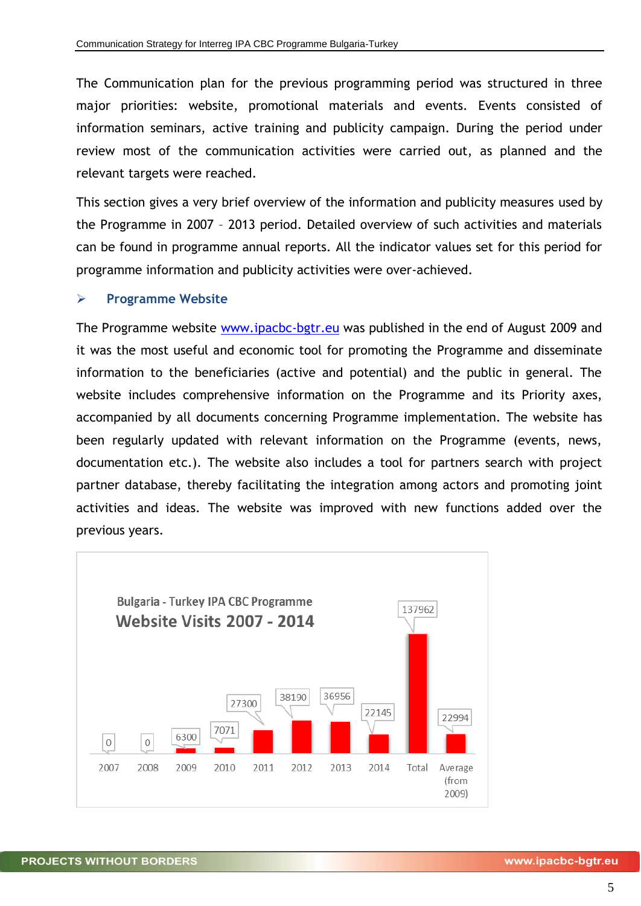The Communication plan for the previous programming period was structured in three major priorities: website, promotional materials and events. Events consisted of information seminars, active training and publicity campaign. During the period under review most of the communication activities were carried out, as planned and the relevant targets were reached.

This section gives a very brief overview of the information and publicity measures used by the Programme in 2007 – 2013 period. Detailed overview of such activities and materials can be found in programme annual reports. All the indicator values set for this period for programme information and publicity activities were over-achieved.

#### **Programme Website**

The Programme website [www.ipacbc-bgtr.eu](http://www.ipacbc-bgtr.eu/) was published in the end of August 2009 and it was the most useful and economic tool for promoting the Programme and disseminate information to the beneficiaries (active and potential) and the public in general. The website includes comprehensive information on the Programme and its Priority axes, accompanied by all documents concerning Programme implementation. The website has been regularly updated with relevant information on the Programme (events, news, documentation etc.). The website also includes a tool for partners search with project partner database, thereby facilitating the integration among actors and promoting joint activities and ideas. The website was improved with new functions added over the previous years.

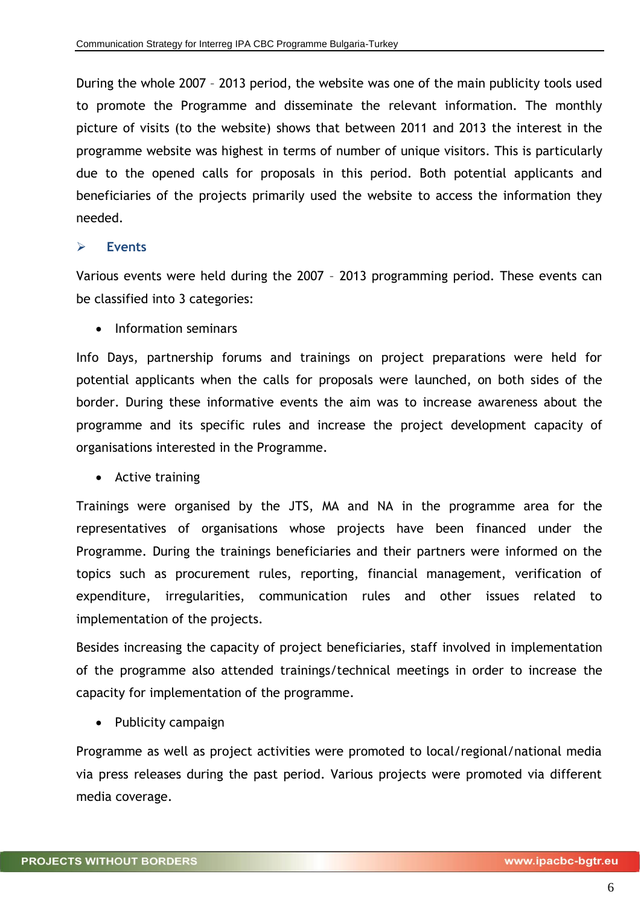During the whole 2007 – 2013 period, the website was one of the main publicity tools used to promote the Programme and disseminate the relevant information. The monthly picture of visits (to the website) shows that between 2011 and 2013 the interest in the programme website was highest in terms of number of unique visitors. This is particularly due to the opened calls for proposals in this period. Both potential applicants and beneficiaries of the projects primarily used the website to access the information they needed.

#### **Events**

Various events were held during the 2007 – 2013 programming period. These events can be classified into 3 categories:

• Information seminars

Info Days, partnership forums and trainings on project preparations were held for potential applicants when the calls for proposals were launched, on both sides of the border. During these informative events the aim was to increase awareness about the programme and its specific rules and increase the project development capacity of organisations interested in the Programme.

• Active training

Trainings were organised by the JTS, MA and NA in the programme area for the representatives of organisations whose projects have been financed under the Programme. During the trainings beneficiaries and their partners were informed on the topics such as procurement rules, reporting, financial management, verification of expenditure, irregularities, communication rules and other issues related to implementation of the projects.

Besides increasing the capacity of project beneficiaries, staff involved in implementation of the programme also attended trainings/technical meetings in order to increase the capacity for implementation of the programme.

• Publicity campaign

Programme as well as project activities were promoted to local/regional/national media via press releases during the past period. Various projects were promoted via different media coverage.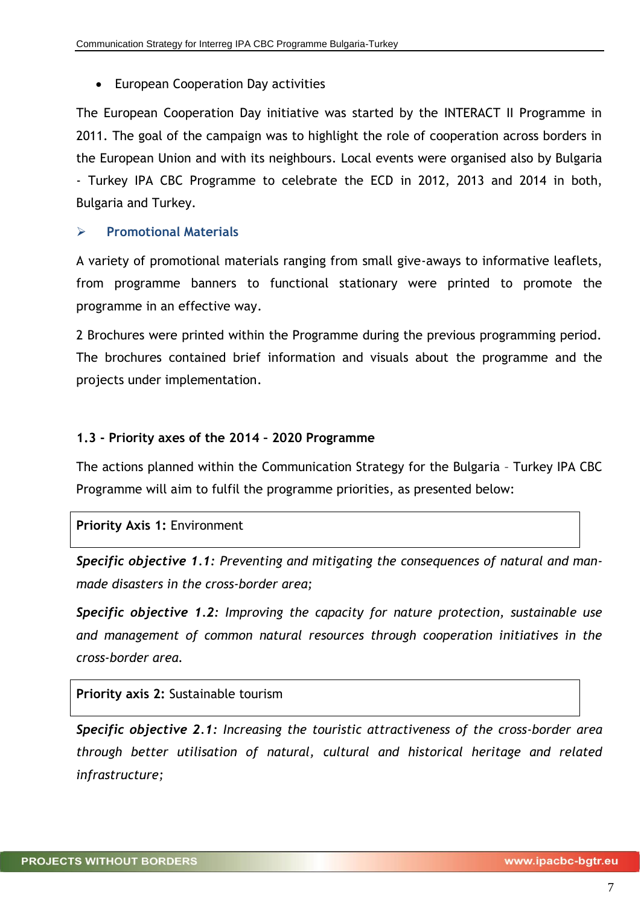European Cooperation Day activities

The European Cooperation Day initiative was started by the INTERACT II Programme in 2011. The goal of the campaign was to highlight the role of cooperation across borders in the European Union and with its neighbours. Local events were organised also by Bulgaria - Turkey IPA CBC Programme to celebrate the ECD in 2012, 2013 and 2014 in both, Bulgaria and Turkey.

# **Promotional Materials**

A variety of promotional materials ranging from small give-aways to informative leaflets, from programme banners to functional stationary were printed to promote the programme in an effective way.

2 Brochures were printed within the Programme during the previous programming period. The brochures contained brief information and visuals about the programme and the projects under implementation.

# <span id="page-6-0"></span>**1.3 - Priority axes of the 2014 – 2020 Programme**

The actions planned within the Communication Strategy for the Bulgaria – Turkey IPA CBC Programme will aim to fulfil the programme priorities, as presented below:

# **Priority Axis 1:** Environment

*Specific objective 1.1: Preventing and mitigating the consequences of natural and manmade disasters in the cross-border area;*

*Specific objective 1.2: Improving the capacity for nature protection, sustainable use and management of common natural resources through cooperation initiatives in the cross-border area.*

**Priority axis 2:** Sustainable tourism

*Specific objective 2.1: Increasing the touristic attractiveness of the cross-border area through better utilisation of natural, cultural and historical heritage and related infrastructure;*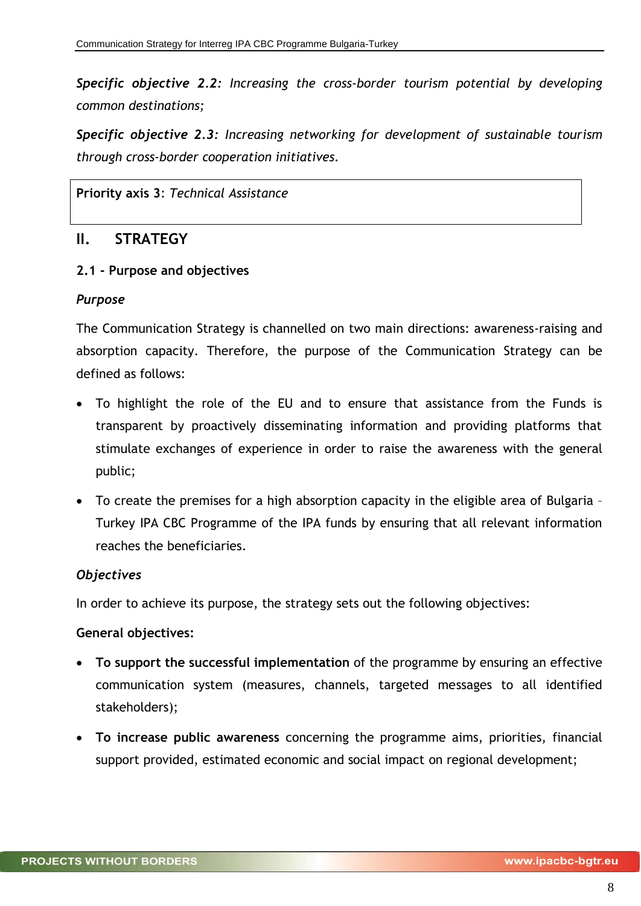*Specific objective 2.2: Increasing the cross-border tourism potential by developing common destinations;*

*Specific objective 2.3: Increasing networking for development of sustainable tourism through cross-border cooperation initiatives.*

**Priority axis 3**: *Technical Assistance*

# <span id="page-7-0"></span>**II. STRATEGY**

#### <span id="page-7-1"></span>**2.1 - Purpose and objectives**

#### *Purpose*

The Communication Strategy is channelled on two main directions: awareness-raising and absorption capacity. Therefore, the purpose of the Communication Strategy can be defined as follows:

- To highlight the role of the EU and to ensure that assistance from the Funds is transparent by proactively disseminating information and providing platforms that stimulate exchanges of experience in order to raise the awareness with the general public;
- To create the premises for a high absorption capacity in the eligible area of Bulgaria Turkey IPA CBC Programme of the IPA funds by ensuring that all relevant information reaches the beneficiaries.

# *Objectives*

In order to achieve its purpose, the strategy sets out the following objectives:

#### **General objectives:**

- **To support the successful implementation** of the programme by ensuring an effective communication system (measures, channels, targeted messages to all identified stakeholders);
- **To increase public awareness** concerning the programme aims, priorities, financial support provided, estimated economic and social impact on regional development;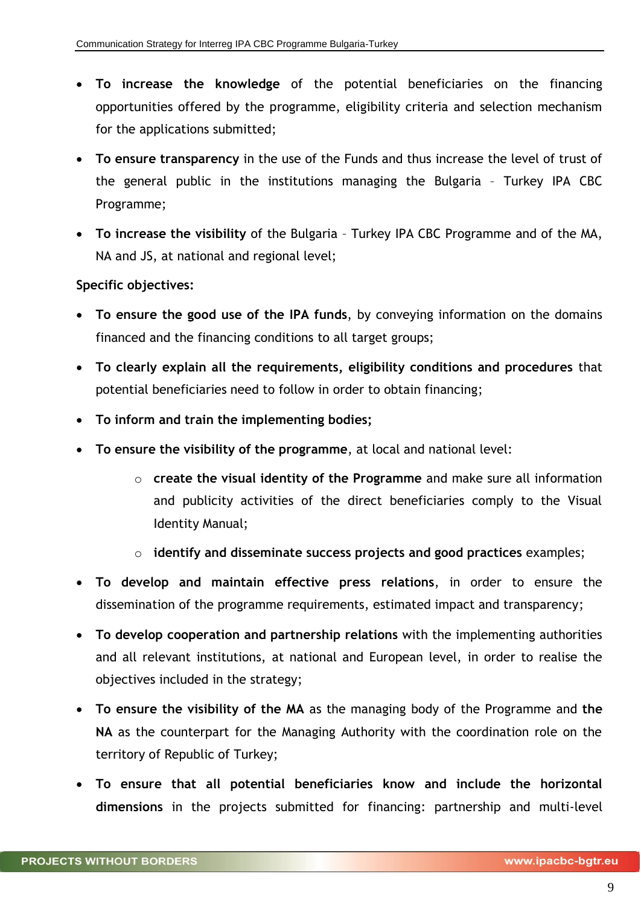- **To increase the knowledge** of the potential beneficiaries on the financing opportunities offered by the programme, eligibility criteria and selection mechanism for the applications submitted;
- **To ensure transparency** in the use of the Funds and thus increase the level of trust of the general public in the institutions managing the Bulgaria – Turkey IPA CBC Programme;
- **To increase the visibility** of the Bulgaria Turkey IPA CBC Programme and of the MA, NA and JS, at national and regional level;

# **Specific objectives:**

- **To ensure the good use of the IPA funds**, by conveying information on the domains financed and the financing conditions to all target groups;
- **To clearly explain all the requirements, eligibility conditions and procedures** that potential beneficiaries need to follow in order to obtain financing;
- **To inform and train the implementing bodies;**
- **To ensure the visibility of the programme**, at local and national level:
	- o **create the visual identity of the Programme** and make sure all information and publicity activities of the direct beneficiaries comply to the Visual Identity Manual;
	- o **identify and disseminate success projects and good practices** examples;
- **To develop and maintain effective press relations**, in order to ensure the dissemination of the programme requirements, estimated impact and transparency;
- **To develop cooperation and partnership relations** with the implementing authorities and all relevant institutions, at national and European level, in order to realise the objectives included in the strategy;
- **To ensure the visibility of the MA** as the managing body of the Programme and **the NA** as the counterpart for the Managing Authority with the coordination role on the territory of Republic of Turkey;
- **To ensure that all potential beneficiaries know and include the horizontal dimensions** in the projects submitted for financing: partnership and multi-level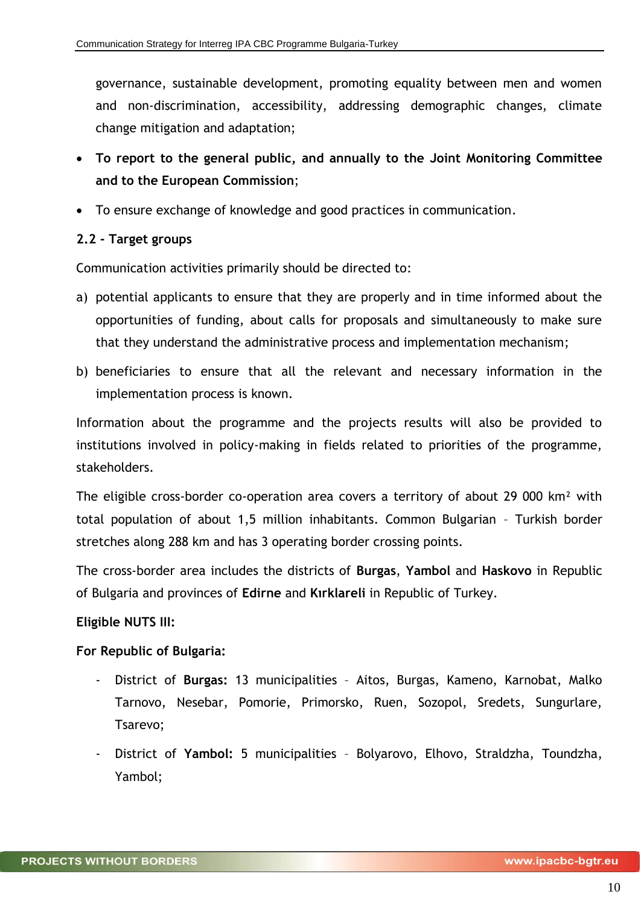governance, sustainable development, promoting equality between men and women and non-discrimination, accessibility, addressing demographic changes, climate change mitigation and adaptation;

- **To report to the general public, and annually to the Joint Monitoring Committee and to the European Commission**;
- To ensure exchange of knowledge and good practices in communication.

# <span id="page-9-0"></span>**2.2 - Target groups**

Communication activities primarily should be directed to:

- a) potential applicants to ensure that they are properly and in time informed about the opportunities of funding, about calls for proposals and simultaneously to make sure that they understand the administrative process and implementation mechanism;
- b) beneficiaries to ensure that all the relevant and necessary information in the implementation process is known.

Information about the programme and the projects results will also be provided to institutions involved in policy-making in fields related to priorities of the programme, stakeholders.

The eligible cross-border co-operation area covers a territory of about 29 000 km² with total population of about 1,5 million inhabitants. Common Bulgarian – Turkish border stretches along 288 km and has 3 operating border crossing points.

The cross-border area includes the districts of **Burgas**, **Yambol** and **Haskovo** in Republic of Bulgaria and provinces of **Edirne** and **Kırklareli** in Republic of Turkey.

# **Eligible NUTS III:**

# **For Republic of Bulgaria:**

- District of **Burgas:** 13 municipalities Aitos, Burgas, Kameno, Karnobat, Malko Tarnovo, Nesebar, Pomorie, Primorsko, Ruen, Sozopol, Sredets, Sungurlare, Tsarevo;
- District of **Yambol:** 5 municipalities Bolyarovo, Elhovo, Straldzha, Toundzha, Yambol;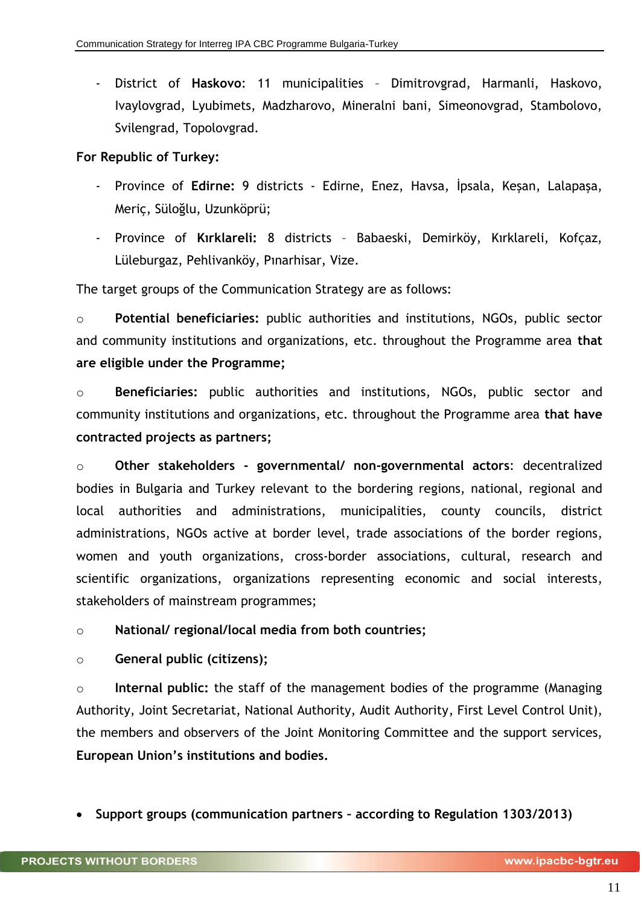- District of **Haskovo**: 11 municipalities – Dimitrovgrad, Harmanli, Haskovo, Ivaylovgrad, Lyubimets, Madzharovo, Mineralni bani, Simeonovgrad, Stambolovo, Svilengrad, Topolovgrad.

# **For Republic of Turkey:**

- Province of **Edirne:** 9 districts Edirne, Enez, Havsa, İpsala, Keşan, Lalapaşa, Meriç, Süloğlu, Uzunköprü;
- Province of **Kırklareli:** 8 districts Babaeski, Demirköy, Kırklareli, Kofçaz, Lüleburgaz, Pehlivanköy, Pınarhisar, Vize.

The target groups of the Communication Strategy are as follows:

o **Potential beneficiaries:** public authorities and institutions, NGOs, public sector and community institutions and organizations, etc. throughout the Programme area **that are eligible under the Programme;**

o **Beneficiaries:** public authorities and institutions, NGOs, public sector and community institutions and organizations, etc. throughout the Programme area **that have contracted projects as partners;**

o **Other stakeholders - governmental/ non-governmental actors**: decentralized bodies in Bulgaria and Turkey relevant to the bordering regions, national, regional and local authorities and administrations, municipalities, county councils, district administrations, NGOs active at border level, trade associations of the border regions, women and youth organizations, cross-border associations, cultural, research and scientific organizations, organizations representing economic and social interests, stakeholders of mainstream programmes;

o **National/ regional/local media from both countries;**

o **General public (citizens);**

o **Internal public:** the staff of the management bodies of the programme (Managing Authority, Joint Secretariat, National Authority, Audit Authority, First Level Control Unit), the members and observers of the Joint Monitoring Committee and the support services, **European Union's institutions and bodies.**

**Support groups (communication partners – according to Regulation 1303/2013)**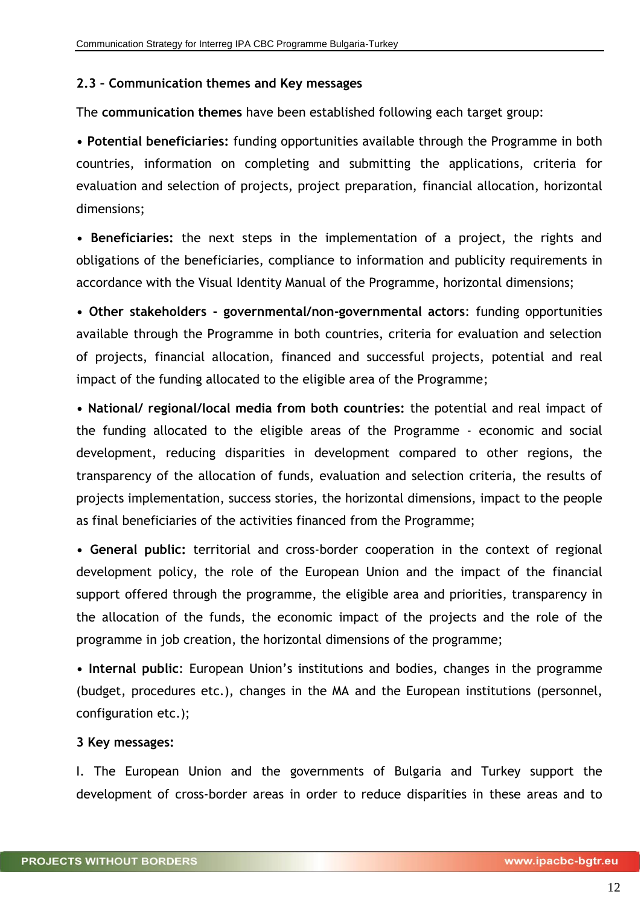#### <span id="page-11-0"></span>**2.3 – Communication themes and Key messages**

The **communication themes** have been established following each target group:

**• Potential beneficiaries:** funding opportunities available through the Programme in both countries, information on completing and submitting the applications, criteria for evaluation and selection of projects, project preparation, financial allocation, horizontal dimensions;

**• Beneficiaries:** the next steps in the implementation of a project, the rights and obligations of the beneficiaries, compliance to information and publicity requirements in accordance with the Visual Identity Manual of the Programme, horizontal dimensions;

**• Other stakeholders - governmental/non-governmental actors**: funding opportunities available through the Programme in both countries, criteria for evaluation and selection of projects, financial allocation, financed and successful projects, potential and real impact of the funding allocated to the eligible area of the Programme;

**• National/ regional/local media from both countries:** the potential and real impact of the funding allocated to the eligible areas of the Programme - economic and social development, reducing disparities in development compared to other regions, the transparency of the allocation of funds, evaluation and selection criteria, the results of projects implementation, success stories, the horizontal dimensions, impact to the people as final beneficiaries of the activities financed from the Programme;

**• General public:** territorial and cross-border cooperation in the context of regional development policy, the role of the European Union and the impact of the financial support offered through the programme, the eligible area and priorities, transparency in the allocation of the funds, the economic impact of the projects and the role of the programme in job creation, the horizontal dimensions of the programme;

**• Internal public**: European Union's institutions and bodies, changes in the programme (budget, procedures etc.), changes in the MA and the European institutions (personnel, configuration etc.);

#### **3 Key messages:**

I. The European Union and the governments of Bulgaria and Turkey support the development of cross-border areas in order to reduce disparities in these areas and to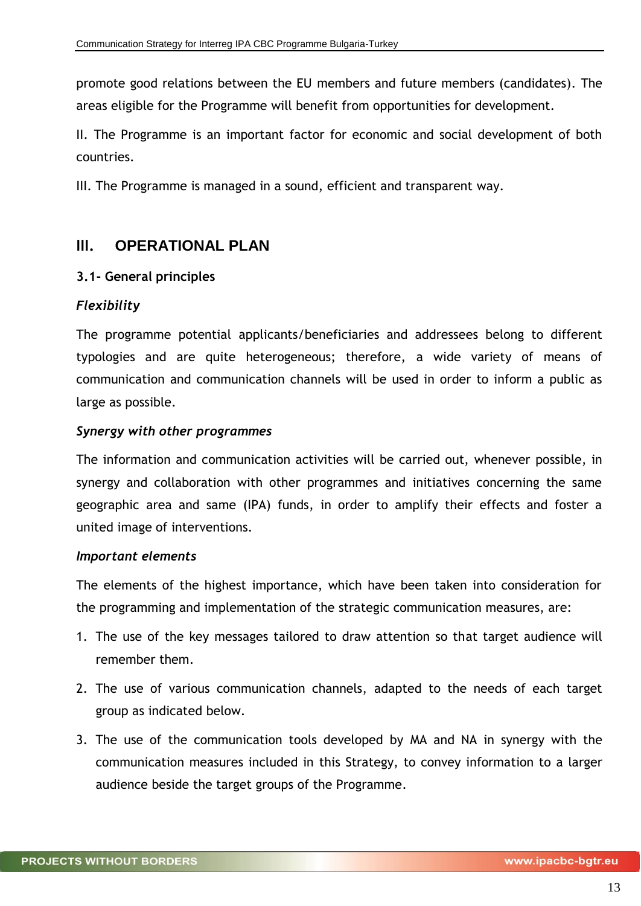promote good relations between the EU members and future members (candidates). The areas eligible for the Programme will benefit from opportunities for development.

II. The Programme is an important factor for economic and social development of both countries.

III. The Programme is managed in a sound, efficient and transparent way.

# <span id="page-12-0"></span>**III. OPERATIONAL PLAN**

#### <span id="page-12-1"></span>**3.1- General principles**

#### *Flexibility*

The programme potential applicants/beneficiaries and addressees belong to different typologies and are quite heterogeneous; therefore, a wide variety of means of communication and communication channels will be used in order to inform a public as large as possible.

#### *Synergy with other programmes*

The information and communication activities will be carried out, whenever possible, in synergy and collaboration with other programmes and initiatives concerning the same geographic area and same (IPA) funds, in order to amplify their effects and foster a united image of interventions.

#### *Important elements*

The elements of the highest importance, which have been taken into consideration for the programming and implementation of the strategic communication measures, are:

- 1. The use of the key messages tailored to draw attention so that target audience will remember them.
- 2. The use of various communication channels, adapted to the needs of each target group as indicated below.
- 3. The use of the communication tools developed by MA and NA in synergy with the communication measures included in this Strategy, to convey information to a larger audience beside the target groups of the Programme.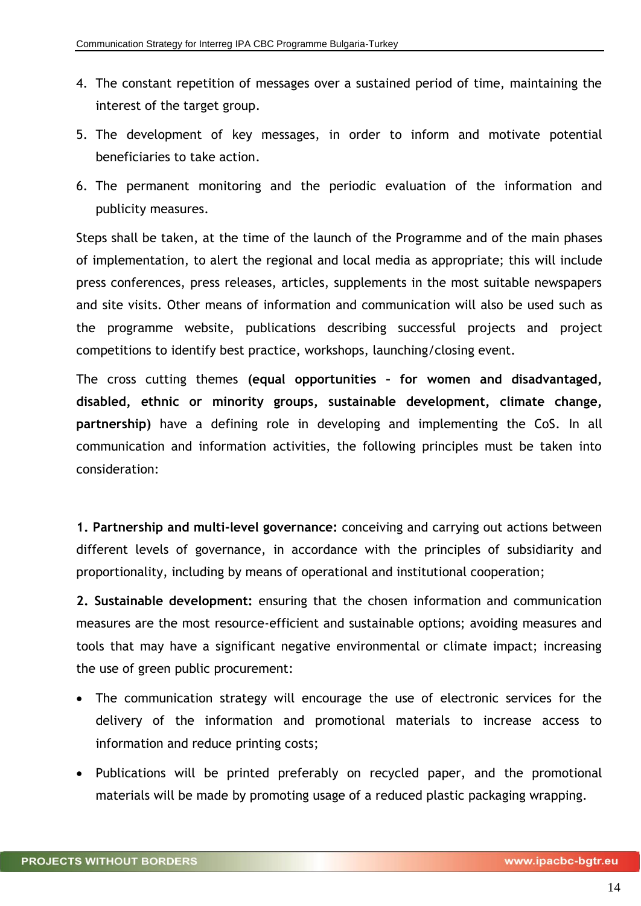- 4. The constant repetition of messages over a sustained period of time, maintaining the interest of the target group.
- 5. The development of key messages, in order to inform and motivate potential beneficiaries to take action.
- 6. The permanent monitoring and the periodic evaluation of the information and publicity measures.

Steps shall be taken, at the time of the launch of the Programme and of the main phases of implementation, to alert the regional and local media as appropriate; this will include press conferences, press releases, articles, supplements in the most suitable newspapers and site visits. Other means of information and communication will also be used such as the programme website, publications describing successful projects and project competitions to identify best practice, workshops, launching/closing event.

The cross cutting themes **(equal opportunities – for women and disadvantaged, disabled, ethnic or minority groups, sustainable development, climate change, partnership)** have a defining role in developing and implementing the CoS. In all communication and information activities, the following principles must be taken into consideration:

**1. Partnership and multi-level governance:** conceiving and carrying out actions between different levels of governance, in accordance with the principles of subsidiarity and proportionality, including by means of operational and institutional cooperation;

**2. Sustainable development:** ensuring that the chosen information and communication measures are the most resource-efficient and sustainable options; avoiding measures and tools that may have a significant negative environmental or climate impact; increasing the use of green public procurement:

- The communication strategy will encourage the use of electronic services for the delivery of the information and promotional materials to increase access to information and reduce printing costs;
- Publications will be printed preferably on recycled paper, and the promotional materials will be made by promoting usage of a reduced plastic packaging wrapping.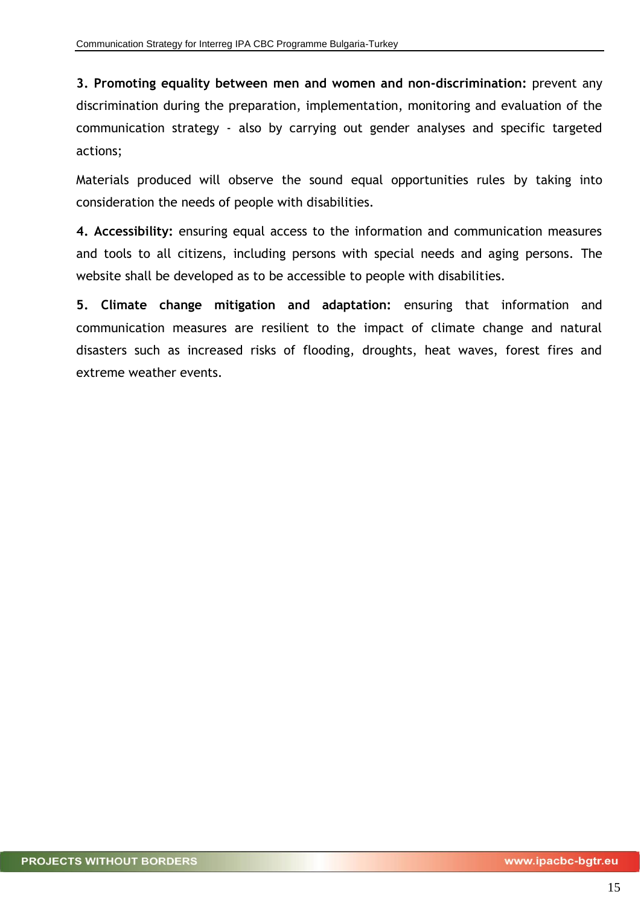**3. Promoting equality between men and women and non-discrimination:** prevent any discrimination during the preparation, implementation, monitoring and evaluation of the communication strategy - also by carrying out gender analyses and specific targeted actions;

Materials produced will observe the sound equal opportunities rules by taking into consideration the needs of people with disabilities.

**4. Accessibility:** ensuring equal access to the information and communication measures and tools to all citizens, including persons with special needs and aging persons. The website shall be developed as to be accessible to people with disabilities.

**5. Climate change mitigation and adaptation:** ensuring that information and communication measures are resilient to the impact of climate change and natural disasters such as increased risks of flooding, droughts, heat waves, forest fires and extreme weather events.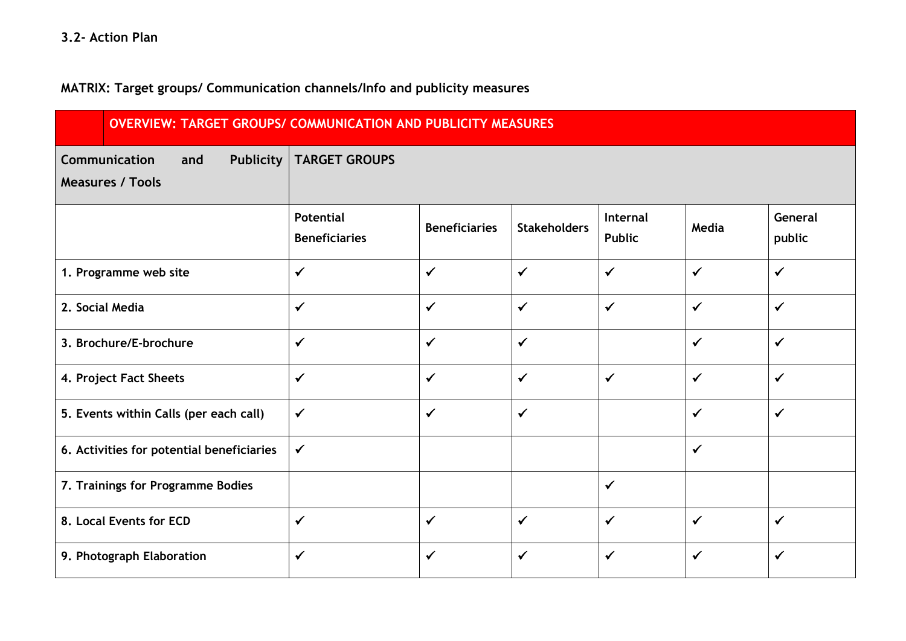**MATRIX: Target groups/ Communication channels/Info and publicity measures**

| <b>OVERVIEW: TARGET GROUPS/ COMMUNICATION AND PUBLICITY MEASURES</b> |                                          |                      |                     |                           |              |                   |
|----------------------------------------------------------------------|------------------------------------------|----------------------|---------------------|---------------------------|--------------|-------------------|
| Communication<br><b>Publicity</b><br>and<br><b>Measures / Tools</b>  | <b>TARGET GROUPS</b>                     |                      |                     |                           |              |                   |
|                                                                      | <b>Potential</b><br><b>Beneficiaries</b> | <b>Beneficiaries</b> | <b>Stakeholders</b> | Internal<br><b>Public</b> | Media        | General<br>public |
| 1. Programme web site                                                | $\checkmark$                             | $\checkmark$         | $\checkmark$        | $\checkmark$              | $\checkmark$ | $\checkmark$      |
| 2. Social Media                                                      | $\checkmark$                             | $\checkmark$         | $\checkmark$        | $\checkmark$              | $\checkmark$ | $\checkmark$      |
| 3. Brochure/E-brochure                                               | $\checkmark$                             | $\checkmark$         | $\checkmark$        |                           | $\checkmark$ | $\checkmark$      |
| 4. Project Fact Sheets                                               | $\checkmark$                             | $\checkmark$         | $\checkmark$        | $\checkmark$              | $\checkmark$ | $\checkmark$      |
| 5. Events within Calls (per each call)                               | $\checkmark$                             | $\checkmark$         | $\checkmark$        |                           | $\checkmark$ | $\checkmark$      |
| 6. Activities for potential beneficiaries                            | $\checkmark$                             |                      |                     |                           | $\checkmark$ |                   |
| 7. Trainings for Programme Bodies                                    |                                          |                      |                     | $\checkmark$              |              |                   |
| 8. Local Events for ECD                                              | $\checkmark$                             | $\checkmark$         | $\checkmark$        | $\checkmark$              | $\checkmark$ | $\checkmark$      |
| 9. Photograph Elaboration                                            | $\checkmark$                             | $\checkmark$         | $\checkmark$        | $\checkmark$              | $\checkmark$ | $\checkmark$      |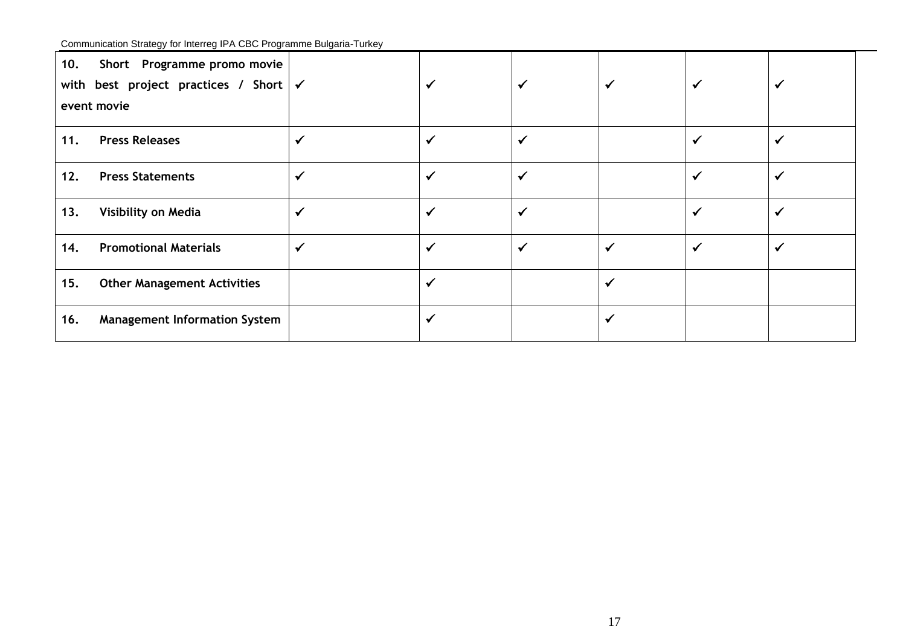Communication Strategy for Interreg IPA CBC Programme Bulgaria-Turkey

| 10. | Short Programme promo movie<br>with best project practices / Short $\mathcal{V}$<br>event movie |              |                         | ✓            |              | ✔            |
|-----|-------------------------------------------------------------------------------------------------|--------------|-------------------------|--------------|--------------|--------------|
| 11. | <b>Press Releases</b>                                                                           | $\checkmark$ |                         |              |              |              |
| 12. | <b>Press Statements</b>                                                                         | $\checkmark$ | $\overline{\mathbf{v}}$ | ✔            | $\checkmark$ | $\checkmark$ |
| 13. | Visibility on Media                                                                             | $\checkmark$ |                         |              |              | $\checkmark$ |
| 14. | <b>Promotional Materials</b>                                                                    | $\checkmark$ |                         | $\checkmark$ |              | $\checkmark$ |
| 15. | <b>Other Management Activities</b>                                                              |              | ✔                       |              |              |              |
| 16. | <b>Management Information System</b>                                                            |              |                         |              |              |              |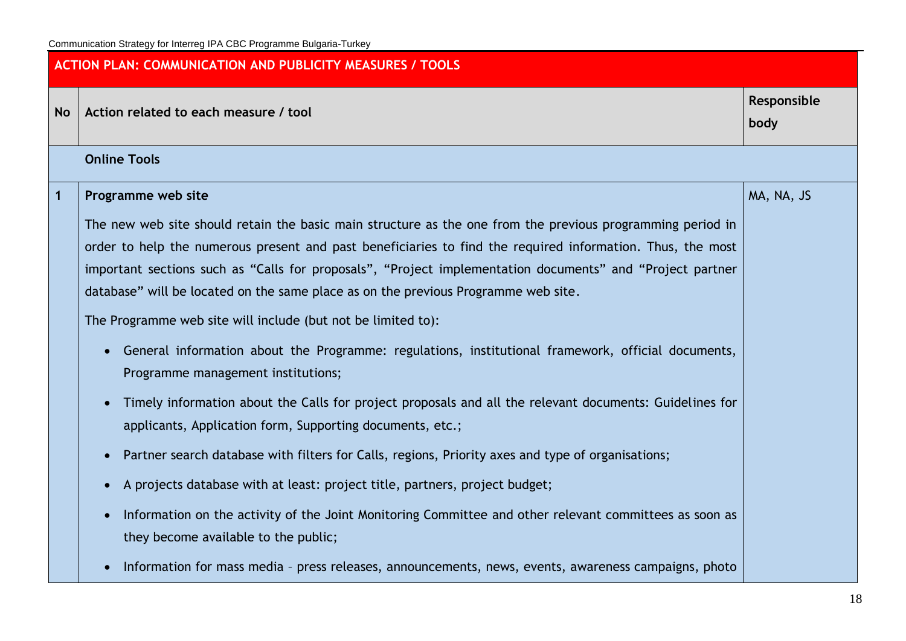|              | <b>ACTION PLAN: COMMUNICATION AND PUBLICITY MEASURES / TOOLS</b>                                                                                                                                                                                                                                                                                                                                                            |                     |  |  |
|--------------|-----------------------------------------------------------------------------------------------------------------------------------------------------------------------------------------------------------------------------------------------------------------------------------------------------------------------------------------------------------------------------------------------------------------------------|---------------------|--|--|
| <b>No</b>    | Action related to each measure / tool                                                                                                                                                                                                                                                                                                                                                                                       | Responsible<br>body |  |  |
|              | <b>Online Tools</b>                                                                                                                                                                                                                                                                                                                                                                                                         |                     |  |  |
| $\mathbf{1}$ | Programme web site                                                                                                                                                                                                                                                                                                                                                                                                          | MA, NA, JS          |  |  |
|              | The new web site should retain the basic main structure as the one from the previous programming period in<br>order to help the numerous present and past beneficiaries to find the required information. Thus, the most<br>important sections such as "Calls for proposals", "Project implementation documents" and "Project partner<br>database" will be located on the same place as on the previous Programme web site. |                     |  |  |
|              | The Programme web site will include (but not be limited to):                                                                                                                                                                                                                                                                                                                                                                |                     |  |  |
|              | General information about the Programme: regulations, institutional framework, official documents,<br>$\bullet$<br>Programme management institutions;                                                                                                                                                                                                                                                                       |                     |  |  |
|              | Timely information about the Calls for project proposals and all the relevant documents: Guidelines for<br>applicants, Application form, Supporting documents, etc.;                                                                                                                                                                                                                                                        |                     |  |  |
|              | Partner search database with filters for Calls, regions, Priority axes and type of organisations;<br>$\bullet$                                                                                                                                                                                                                                                                                                              |                     |  |  |
|              | A projects database with at least: project title, partners, project budget;<br>$\bullet$                                                                                                                                                                                                                                                                                                                                    |                     |  |  |
|              | Information on the activity of the Joint Monitoring Committee and other relevant committees as soon as<br>they become available to the public;                                                                                                                                                                                                                                                                              |                     |  |  |
|              | Information for mass media - press releases, announcements, news, events, awareness campaigns, photo<br>$\bullet$                                                                                                                                                                                                                                                                                                           |                     |  |  |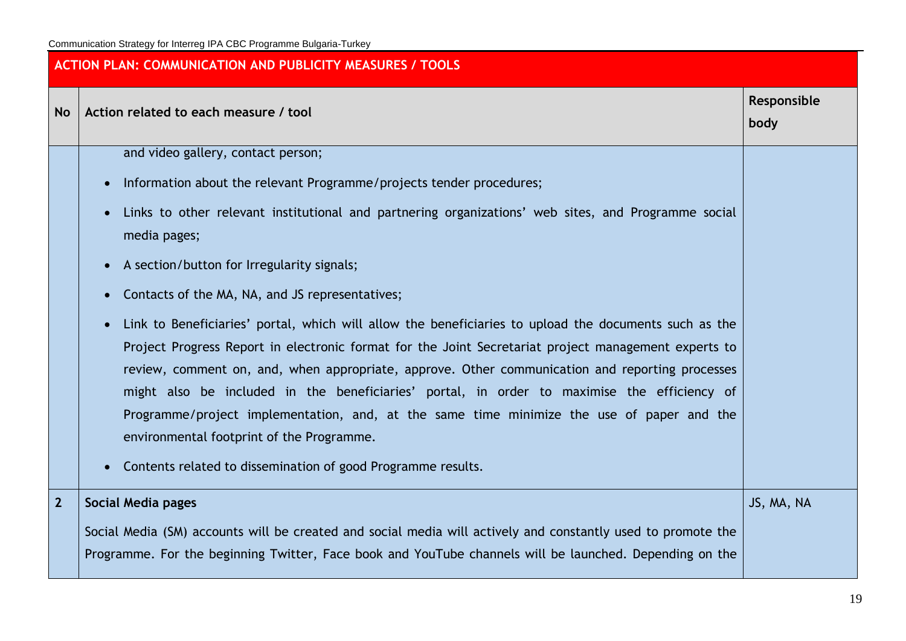|                | <b>ACTION PLAN: COMMUNICATION AND PUBLICITY MEASURES / TOOLS</b>                                                                                                                                                                                                                                                                                                                                                                                                                                                                                                                                                                                                                                                                                                                                                                                                                                                                                                                                                                              |                     |
|----------------|-----------------------------------------------------------------------------------------------------------------------------------------------------------------------------------------------------------------------------------------------------------------------------------------------------------------------------------------------------------------------------------------------------------------------------------------------------------------------------------------------------------------------------------------------------------------------------------------------------------------------------------------------------------------------------------------------------------------------------------------------------------------------------------------------------------------------------------------------------------------------------------------------------------------------------------------------------------------------------------------------------------------------------------------------|---------------------|
| <b>No</b>      | Action related to each measure / tool                                                                                                                                                                                                                                                                                                                                                                                                                                                                                                                                                                                                                                                                                                                                                                                                                                                                                                                                                                                                         | Responsible<br>body |
|                | and video gallery, contact person;<br>Information about the relevant Programme/projects tender procedures;<br>$\bullet$<br>Links to other relevant institutional and partnering organizations' web sites, and Programme social<br>$\bullet$<br>media pages;<br>A section/button for Irregularity signals;<br>$\bullet$<br>Contacts of the MA, NA, and JS representatives;<br>$\bullet$<br>Link to Beneficiaries' portal, which will allow the beneficiaries to upload the documents such as the<br>$\bullet$<br>Project Progress Report in electronic format for the Joint Secretariat project management experts to<br>review, comment on, and, when appropriate, approve. Other communication and reporting processes<br>might also be included in the beneficiaries' portal, in order to maximise the efficiency of<br>Programme/project implementation, and, at the same time minimize the use of paper and the<br>environmental footprint of the Programme.<br>Contents related to dissemination of good Programme results.<br>$\bullet$ |                     |
| $\overline{2}$ | <b>Social Media pages</b><br>Social Media (SM) accounts will be created and social media will actively and constantly used to promote the<br>Programme. For the beginning Twitter, Face book and YouTube channels will be launched. Depending on the                                                                                                                                                                                                                                                                                                                                                                                                                                                                                                                                                                                                                                                                                                                                                                                          | JS, MA, NA          |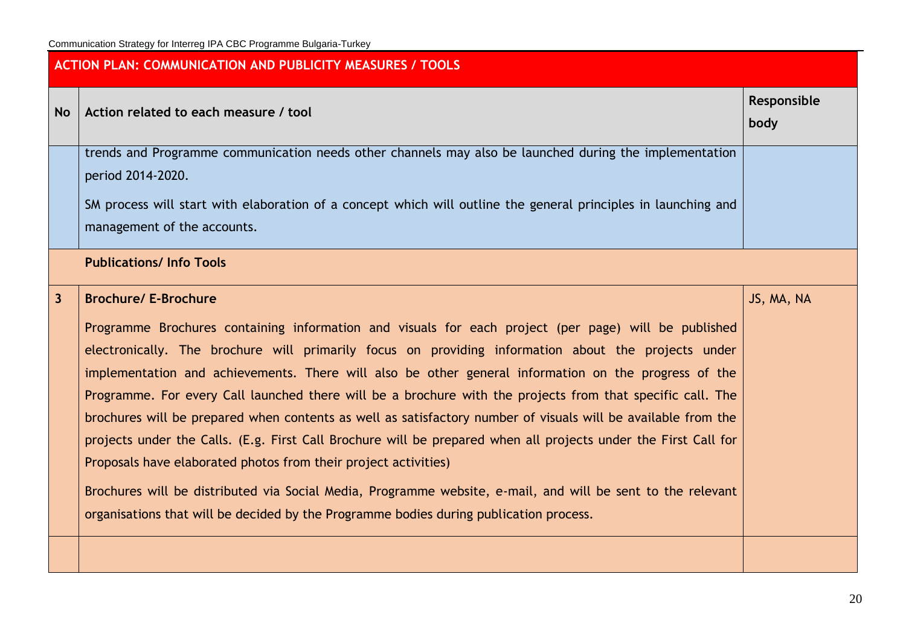| <b>ACTION PLAN: COMMUNICATION AND PUBLICITY MEASURES / TOOLS</b> |                                                                                                                                                                                                                                                                                                                                                                                                                                                                                                                                                                                                                                                                                                                                                                                                                                                                                                                                                                                  |                     |  |  |
|------------------------------------------------------------------|----------------------------------------------------------------------------------------------------------------------------------------------------------------------------------------------------------------------------------------------------------------------------------------------------------------------------------------------------------------------------------------------------------------------------------------------------------------------------------------------------------------------------------------------------------------------------------------------------------------------------------------------------------------------------------------------------------------------------------------------------------------------------------------------------------------------------------------------------------------------------------------------------------------------------------------------------------------------------------|---------------------|--|--|
| <b>No</b>                                                        | Action related to each measure / tool                                                                                                                                                                                                                                                                                                                                                                                                                                                                                                                                                                                                                                                                                                                                                                                                                                                                                                                                            | Responsible<br>body |  |  |
|                                                                  | trends and Programme communication needs other channels may also be launched during the implementation<br>period 2014-2020.<br>SM process will start with elaboration of a concept which will outline the general principles in launching and<br>management of the accounts.                                                                                                                                                                                                                                                                                                                                                                                                                                                                                                                                                                                                                                                                                                     |                     |  |  |
|                                                                  | <b>Publications/Info Tools</b>                                                                                                                                                                                                                                                                                                                                                                                                                                                                                                                                                                                                                                                                                                                                                                                                                                                                                                                                                   |                     |  |  |
| $\overline{3}$                                                   | <b>Brochure/ E-Brochure</b><br>Programme Brochures containing information and visuals for each project (per page) will be published<br>electronically. The brochure will primarily focus on providing information about the projects under<br>implementation and achievements. There will also be other general information on the progress of the<br>Programme. For every Call launched there will be a brochure with the projects from that specific call. The<br>brochures will be prepared when contents as well as satisfactory number of visuals will be available from the<br>projects under the Calls. (E.g. First Call Brochure will be prepared when all projects under the First Call for<br>Proposals have elaborated photos from their project activities)<br>Brochures will be distributed via Social Media, Programme website, e-mail, and will be sent to the relevant<br>organisations that will be decided by the Programme bodies during publication process. | JS, MA, NA          |  |  |
|                                                                  |                                                                                                                                                                                                                                                                                                                                                                                                                                                                                                                                                                                                                                                                                                                                                                                                                                                                                                                                                                                  |                     |  |  |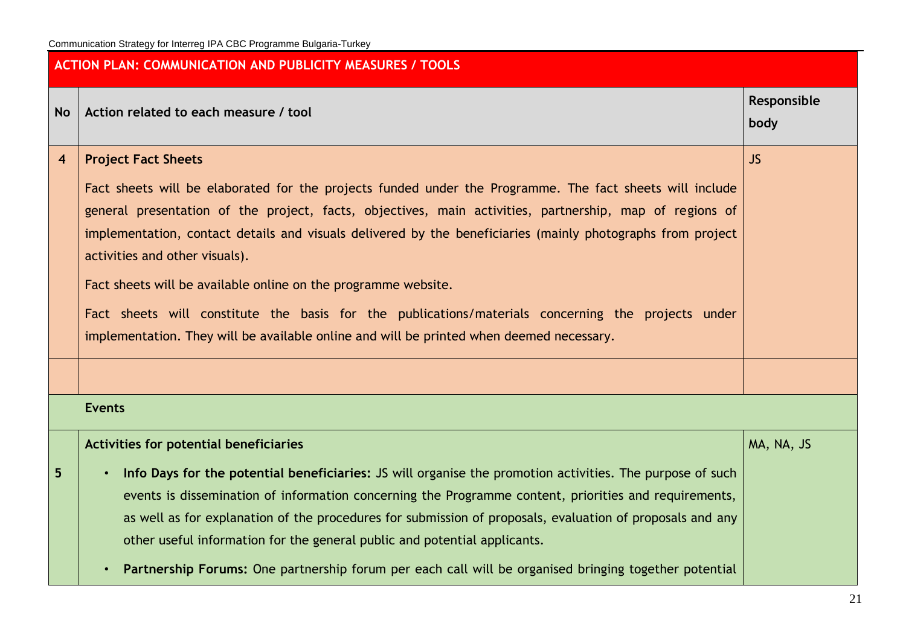|                         | <b>ACTION PLAN: COMMUNICATION AND PUBLICITY MEASURES / TOOLS</b>                                                                                                                                                                                                                                                                                                                                                                                                                                                                                                                    |                     |  |  |
|-------------------------|-------------------------------------------------------------------------------------------------------------------------------------------------------------------------------------------------------------------------------------------------------------------------------------------------------------------------------------------------------------------------------------------------------------------------------------------------------------------------------------------------------------------------------------------------------------------------------------|---------------------|--|--|
| <b>No</b>               | Action related to each measure / tool                                                                                                                                                                                                                                                                                                                                                                                                                                                                                                                                               | Responsible<br>body |  |  |
| $\overline{\mathbf{4}}$ | <b>Project Fact Sheets</b><br>Fact sheets will be elaborated for the projects funded under the Programme. The fact sheets will include<br>general presentation of the project, facts, objectives, main activities, partnership, map of regions of<br>implementation, contact details and visuals delivered by the beneficiaries (mainly photographs from project<br>activities and other visuals).<br>Fact sheets will be available online on the programme website.<br>Fact sheets will constitute the basis for the publications/materials concerning the projects under          | <b>JS</b>           |  |  |
|                         | implementation. They will be available online and will be printed when deemed necessary.                                                                                                                                                                                                                                                                                                                                                                                                                                                                                            |                     |  |  |
|                         | <b>Events</b>                                                                                                                                                                                                                                                                                                                                                                                                                                                                                                                                                                       |                     |  |  |
| 5                       | <b>Activities for potential beneficiaries</b><br>Info Days for the potential beneficiaries: JS will organise the promotion activities. The purpose of such<br>$\bullet$<br>events is dissemination of information concerning the Programme content, priorities and requirements,<br>as well as for explanation of the procedures for submission of proposals, evaluation of proposals and any<br>other useful information for the general public and potential applicants.<br>Partnership Forums: One partnership forum per each call will be organised bringing together potential | MA, NA, JS          |  |  |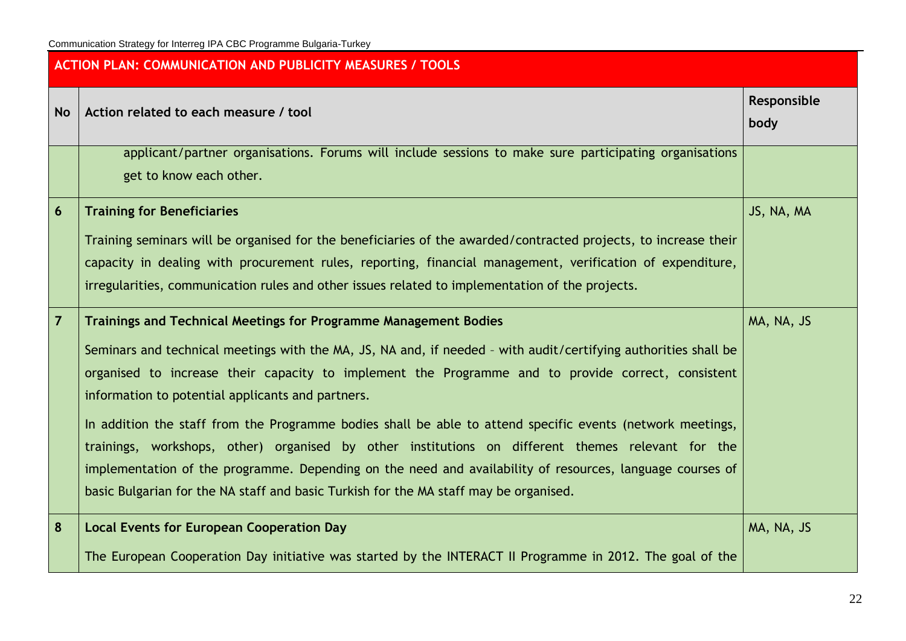|                | <b>ACTION PLAN: COMMUNICATION AND PUBLICITY MEASURES / TOOLS</b>                                                                                                                                                                                                                                                                                                                                                                                                                                                                                                                                                                                                                                                                                                               |                     |  |  |  |
|----------------|--------------------------------------------------------------------------------------------------------------------------------------------------------------------------------------------------------------------------------------------------------------------------------------------------------------------------------------------------------------------------------------------------------------------------------------------------------------------------------------------------------------------------------------------------------------------------------------------------------------------------------------------------------------------------------------------------------------------------------------------------------------------------------|---------------------|--|--|--|
| <b>No</b>      | Action related to each measure / tool                                                                                                                                                                                                                                                                                                                                                                                                                                                                                                                                                                                                                                                                                                                                          | Responsible<br>body |  |  |  |
|                | applicant/partner organisations. Forums will include sessions to make sure participating organisations<br>get to know each other.                                                                                                                                                                                                                                                                                                                                                                                                                                                                                                                                                                                                                                              |                     |  |  |  |
| $6\phantom{1}$ | <b>Training for Beneficiaries</b><br>Training seminars will be organised for the beneficiaries of the awarded/contracted projects, to increase their<br>capacity in dealing with procurement rules, reporting, financial management, verification of expenditure,<br>irregularities, communication rules and other issues related to implementation of the projects.                                                                                                                                                                                                                                                                                                                                                                                                           | JS, NA, MA          |  |  |  |
| $\overline{7}$ | <b>Trainings and Technical Meetings for Programme Management Bodies</b><br>Seminars and technical meetings with the MA, JS, NA and, if needed - with audit/certifying authorities shall be<br>organised to increase their capacity to implement the Programme and to provide correct, consistent<br>information to potential applicants and partners.<br>In addition the staff from the Programme bodies shall be able to attend specific events (network meetings,<br>trainings, workshops, other) organised by other institutions on different themes relevant for the<br>implementation of the programme. Depending on the need and availability of resources, language courses of<br>basic Bulgarian for the NA staff and basic Turkish for the MA staff may be organised. | MA, NA, JS          |  |  |  |
| 8              | <b>Local Events for European Cooperation Day</b><br>The European Cooperation Day initiative was started by the INTERACT II Programme in 2012. The goal of the                                                                                                                                                                                                                                                                                                                                                                                                                                                                                                                                                                                                                  | MA, NA, JS          |  |  |  |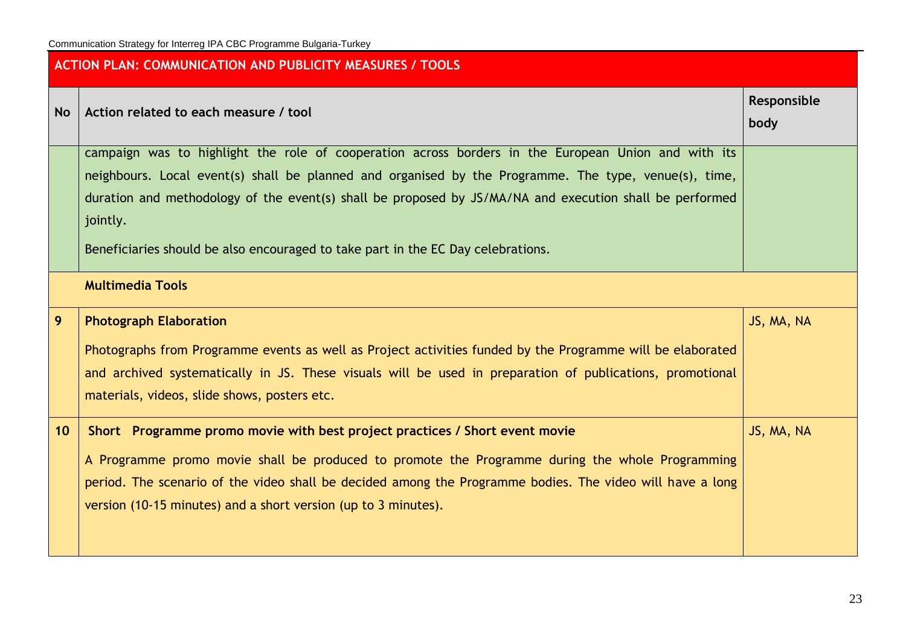| <b>ACTION PLAN: COMMUNICATION AND PUBLICITY MEASURES / TOOLS</b> |                                                                                                                                                                                                                                                                                                                                                                                                                         |                     |  |
|------------------------------------------------------------------|-------------------------------------------------------------------------------------------------------------------------------------------------------------------------------------------------------------------------------------------------------------------------------------------------------------------------------------------------------------------------------------------------------------------------|---------------------|--|
| <b>No</b>                                                        | Action related to each measure / tool                                                                                                                                                                                                                                                                                                                                                                                   | Responsible<br>body |  |
|                                                                  | campaign was to highlight the role of cooperation across borders in the European Union and with its<br>neighbours. Local event(s) shall be planned and organised by the Programme. The type, venue(s), time,<br>duration and methodology of the event(s) shall be proposed by JS/MA/NA and execution shall be performed<br>jointly.<br>Beneficiaries should be also encouraged to take part in the EC Day celebrations. |                     |  |
|                                                                  | <b>Multimedia Tools</b>                                                                                                                                                                                                                                                                                                                                                                                                 |                     |  |
| 9                                                                | <b>Photograph Elaboration</b><br>Photographs from Programme events as well as Project activities funded by the Programme will be elaborated<br>and archived systematically in JS. These visuals will be used in preparation of publications, promotional<br>materials, videos, slide shows, posters etc.                                                                                                                | JS, MA, NA          |  |
| 10                                                               | Short Programme promo movie with best project practices / Short event movie<br>A Programme promo movie shall be produced to promote the Programme during the whole Programming<br>period. The scenario of the video shall be decided among the Programme bodies. The video will have a long<br>version (10-15 minutes) and a short version (up to 3 minutes).                                                           | JS, MA, NA          |  |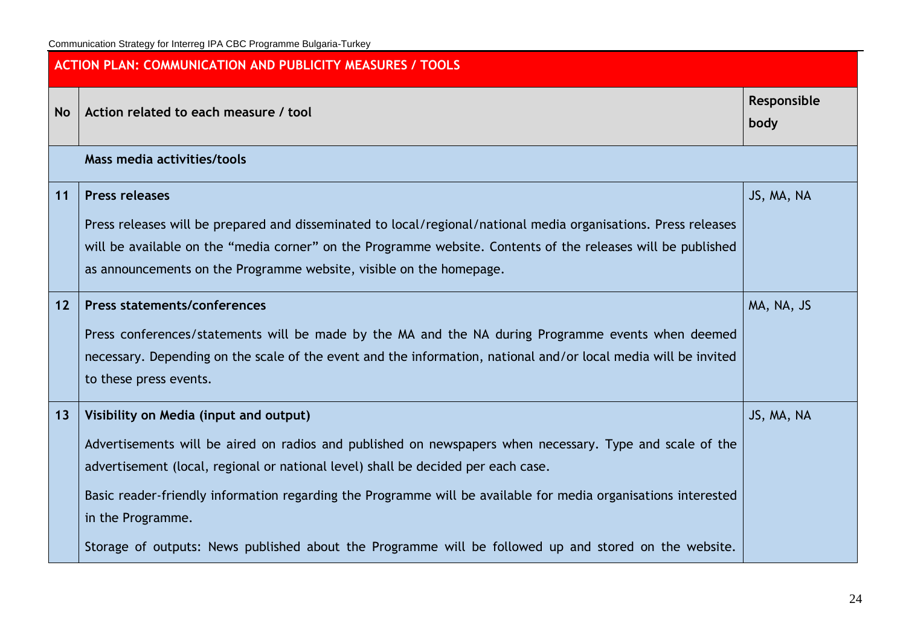| <b>ACTION PLAN: COMMUNICATION AND PUBLICITY MEASURES / TOOLS</b> |                                                                                                                                                                                                                                                                                                                                                                                                                                                                                         |                     |  |
|------------------------------------------------------------------|-----------------------------------------------------------------------------------------------------------------------------------------------------------------------------------------------------------------------------------------------------------------------------------------------------------------------------------------------------------------------------------------------------------------------------------------------------------------------------------------|---------------------|--|
| <b>No</b>                                                        | Action related to each measure / tool                                                                                                                                                                                                                                                                                                                                                                                                                                                   | Responsible<br>body |  |
|                                                                  | Mass media activities/tools                                                                                                                                                                                                                                                                                                                                                                                                                                                             |                     |  |
| 11                                                               | <b>Press releases</b><br>Press releases will be prepared and disseminated to local/regional/national media organisations. Press releases<br>will be available on the "media corner" on the Programme website. Contents of the releases will be published<br>as announcements on the Programme website, visible on the homepage.                                                                                                                                                         | JS, MA, NA          |  |
| 12                                                               | <b>Press statements/conferences</b><br>Press conferences/statements will be made by the MA and the NA during Programme events when deemed<br>necessary. Depending on the scale of the event and the information, national and/or local media will be invited<br>to these press events.                                                                                                                                                                                                  | MA, NA, JS          |  |
| 13                                                               | Visibility on Media (input and output)<br>Advertisements will be aired on radios and published on newspapers when necessary. Type and scale of the<br>advertisement (local, regional or national level) shall be decided per each case.<br>Basic reader-friendly information regarding the Programme will be available for media organisations interested<br>in the Programme.<br>Storage of outputs: News published about the Programme will be followed up and stored on the website. | JS, MA, NA          |  |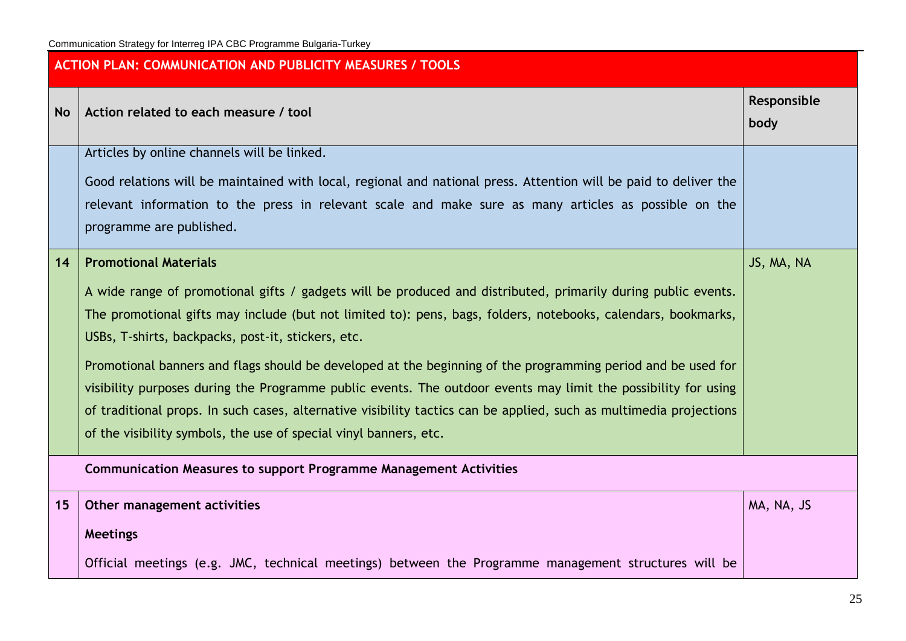| <b>ACTION PLAN: COMMUNICATION AND PUBLICITY MEASURES / TOOLS</b> |                                                                                                                                                                                                                                                                                                                                                                                                                                                                                                                                                                                                                                                                                                                                                   |                     |  |
|------------------------------------------------------------------|---------------------------------------------------------------------------------------------------------------------------------------------------------------------------------------------------------------------------------------------------------------------------------------------------------------------------------------------------------------------------------------------------------------------------------------------------------------------------------------------------------------------------------------------------------------------------------------------------------------------------------------------------------------------------------------------------------------------------------------------------|---------------------|--|
| <b>No</b>                                                        | Action related to each measure / tool                                                                                                                                                                                                                                                                                                                                                                                                                                                                                                                                                                                                                                                                                                             | Responsible<br>body |  |
|                                                                  | Articles by online channels will be linked.<br>Good relations will be maintained with local, regional and national press. Attention will be paid to deliver the<br>relevant information to the press in relevant scale and make sure as many articles as possible on the<br>programme are published.                                                                                                                                                                                                                                                                                                                                                                                                                                              |                     |  |
| 14                                                               | <b>Promotional Materials</b><br>A wide range of promotional gifts / gadgets will be produced and distributed, primarily during public events.<br>The promotional gifts may include (but not limited to): pens, bags, folders, notebooks, calendars, bookmarks,<br>USBs, T-shirts, backpacks, post-it, stickers, etc.<br>Promotional banners and flags should be developed at the beginning of the programming period and be used for<br>visibility purposes during the Programme public events. The outdoor events may limit the possibility for using<br>of traditional props. In such cases, alternative visibility tactics can be applied, such as multimedia projections<br>of the visibility symbols, the use of special vinyl banners, etc. | JS, MA, NA          |  |
|                                                                  | <b>Communication Measures to support Programme Management Activities</b>                                                                                                                                                                                                                                                                                                                                                                                                                                                                                                                                                                                                                                                                          |                     |  |
| 15                                                               | Other management activities<br><b>Meetings</b>                                                                                                                                                                                                                                                                                                                                                                                                                                                                                                                                                                                                                                                                                                    | MA, NA, JS          |  |
|                                                                  | Official meetings (e.g. JMC, technical meetings) between the Programme management structures will be                                                                                                                                                                                                                                                                                                                                                                                                                                                                                                                                                                                                                                              |                     |  |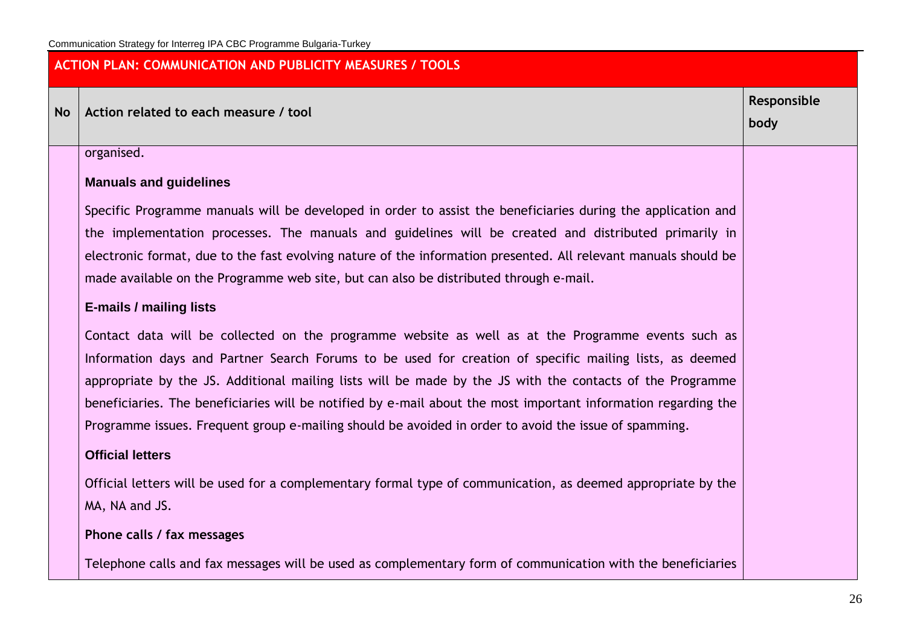# **ACTION PLAN: COMMUNICATION AND PUBLICITY MEASURES / TOOLS**

**No Action related to each measure / tool**

organised.

#### **Manuals and guidelines**

Specific Programme manuals will be developed in order to assist the beneficiaries during the application and the implementation processes. The manuals and guidelines will be created and distributed primarily in electronic format, due to the fast evolving nature of the information presented. All relevant manuals should be made available on the Programme web site, but can also be distributed through e-mail.

#### **E-mails / mailing lists**

Contact data will be collected on the programme website as well as at the Programme events such as Information days and Partner Search Forums to be used for creation of specific mailing lists, as deemed appropriate by the JS. Additional mailing lists will be made by the JS with the contacts of the Programme beneficiaries. The beneficiaries will be notified by e-mail about the most important information regarding the Programme issues. Frequent group e-mailing should be avoided in order to avoid the issue of spamming.

#### **Official letters**

Official letters will be used for a complementary formal type of communication, as deemed appropriate by the MA, NA and JS.

**Phone calls / fax messages**

Telephone calls and fax messages will be used as complementary form of communication with the beneficiaries

**Responsible** 

**body**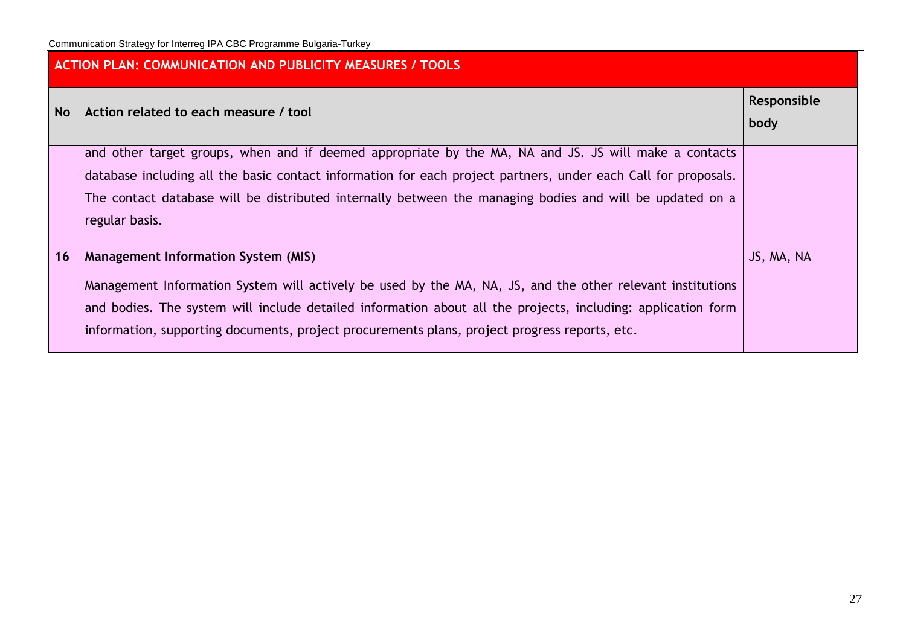| <b>ACTION PLAN: COMMUNICATION AND PUBLICITY MEASURES / TOOLS</b> |                                                                                                                                                                                                                                                                                                                                                                           |            |  |  |  |
|------------------------------------------------------------------|---------------------------------------------------------------------------------------------------------------------------------------------------------------------------------------------------------------------------------------------------------------------------------------------------------------------------------------------------------------------------|------------|--|--|--|
| <b>No</b>                                                        | Action related to each measure / tool                                                                                                                                                                                                                                                                                                                                     |            |  |  |  |
|                                                                  | and other target groups, when and if deemed appropriate by the MA, NA and JS. JS will make a contacts<br>database including all the basic contact information for each project partners, under each Call for proposals.<br>The contact database will be distributed internally between the managing bodies and will be updated on a<br>regular basis.                     |            |  |  |  |
| 16                                                               | <b>Management Information System (MIS)</b><br>Management Information System will actively be used by the MA, NA, JS, and the other relevant institutions<br>and bodies. The system will include detailed information about all the projects, including: application form<br>information, supporting documents, project procurements plans, project progress reports, etc. | JS, MA, NA |  |  |  |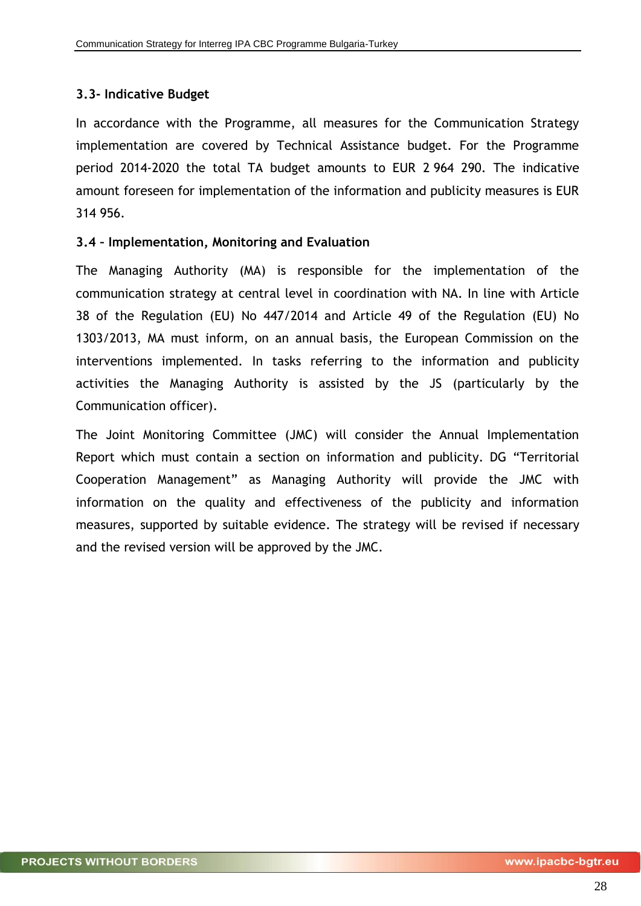# <span id="page-27-0"></span>**3.3- Indicative Budget**

<span id="page-27-1"></span>In accordance with the Programme, all measures for the Communication Strategy implementation are covered by Technical Assistance budget. For the Programme period 2014-2020 the total TA budget amounts to EUR 2 964 290. The indicative amount foreseen for implementation of the information and publicity measures is EUR 314 956.

#### **3.4 – Implementation, Monitoring and Evaluation**

The Managing Authority (MA) is responsible for the implementation of the communication strategy at central level in coordination with NA. In line with Article 38 of the Regulation (EU) No 447/2014 and Article 49 of the Regulation (EU) No 1303/2013, MA must inform, on an annual basis, the European Commission on the interventions implemented. In tasks referring to the information and publicity activities the Managing Authority is assisted by the JS (particularly by the Communication officer).

The Joint Monitoring Committee (JMC) will consider the Annual Implementation Report which must contain a section on information and publicity. DG "Territorial Cooperation Management" as Managing Authority will provide the JMC with information on the quality and effectiveness of the publicity and information measures, supported by suitable evidence. The strategy will be revised if necessary and the revised version will be approved by the JMC.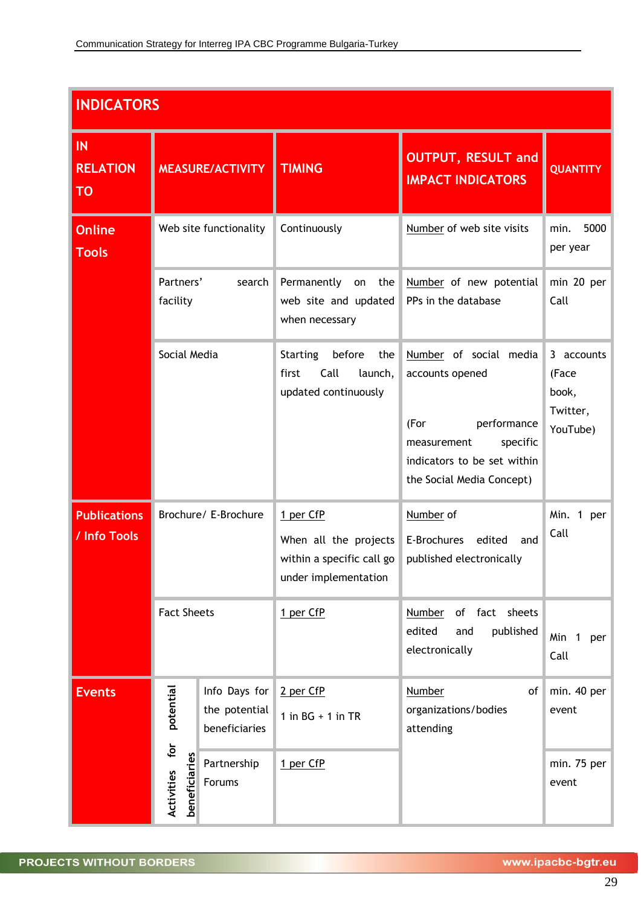| <b>INDICATORS</b>                   |                                                           |                                                 |                                                                                         |                                                                                                                                                         |                                                      |  |
|-------------------------------------|-----------------------------------------------------------|-------------------------------------------------|-----------------------------------------------------------------------------------------|---------------------------------------------------------------------------------------------------------------------------------------------------------|------------------------------------------------------|--|
| IN<br><b>RELATION</b><br>TO         | <b>MEASURE/ACTIVITY</b>                                   |                                                 | <b>TIMING</b>                                                                           | <b>OUTPUT, RESULT and</b><br><b>IMPACT INDICATORS</b>                                                                                                   | <b>QUANTITY</b>                                      |  |
| <b>Online</b><br><b>Tools</b>       | Web site functionality<br>Partners'<br>search<br>facility |                                                 | Continuously                                                                            | Number of web site visits                                                                                                                               | 5000<br>min.<br>per year                             |  |
|                                     |                                                           |                                                 | Permanently<br>on<br>the<br>web site and updated<br>when necessary                      | Number of new potential<br>PPs in the database                                                                                                          | min 20 per<br>Call                                   |  |
|                                     | Social Media                                              |                                                 | <b>Starting</b><br>before<br>the<br>Call<br>first<br>launch,<br>updated continuously    | Number of social media<br>accounts opened<br>performance<br>(For<br>specific<br>measurement<br>indicators to be set within<br>the Social Media Concept) | 3 accounts<br>(Face<br>book,<br>Twitter,<br>YouTube) |  |
| <b>Publications</b><br>/ Info Tools |                                                           | Brochure/ E-Brochure                            | 1 per CfP<br>When all the projects<br>within a specific call go<br>under implementation | Number of<br>E-Brochures<br>edited<br>and<br>published electronically                                                                                   | Min. 1 per<br>Call                                   |  |
|                                     | <b>Fact Sheets</b>                                        |                                                 | 1 per CfP                                                                               | Number of fact sheets<br>edited<br>published<br>and<br>electronically                                                                                   | Min 1<br>per<br>Call                                 |  |
| <b>Events</b>                       | potential                                                 | Info Days for<br>the potential<br>beneficiaries | 2 per CfP<br>1 in $BG + 1$ in TR                                                        | <b>Number</b><br>of<br>organizations/bodies<br>attending                                                                                                | min. 40 per<br>event                                 |  |
|                                     | for<br>beneficiaries<br>Activities                        | Partnership<br>Forums                           | 1 per CfP                                                                               |                                                                                                                                                         | min. 75 per<br>event                                 |  |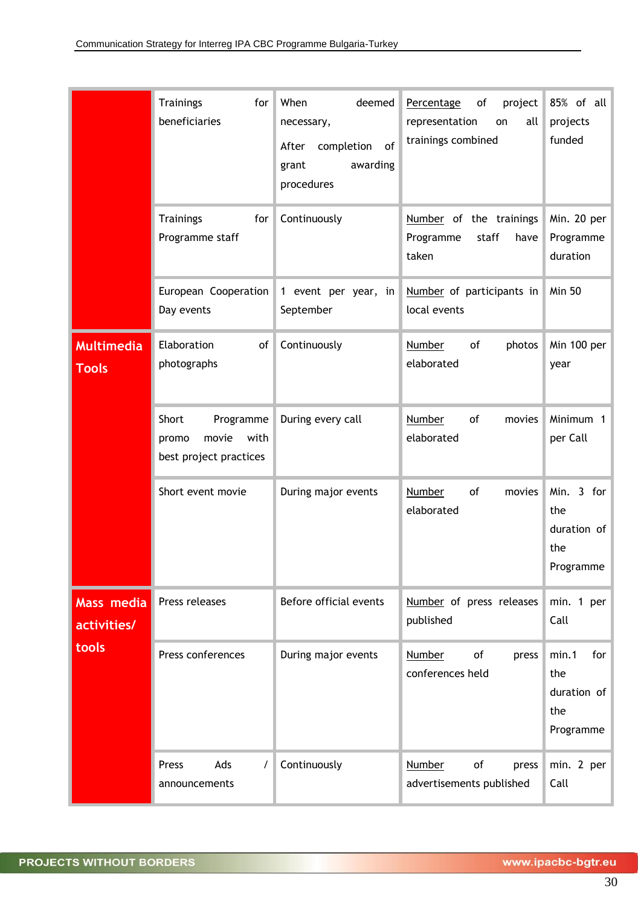|                                   | <b>Trainings</b><br>for<br>beneficiaries                               | When<br>deemed<br>necessary,<br>completion<br>of<br>After<br>awarding<br>grant<br>procedures | project<br>Percentage<br>of<br>representation<br>all<br>on<br>trainings combined | 85% of all<br>projects<br>funded                       |
|-----------------------------------|------------------------------------------------------------------------|----------------------------------------------------------------------------------------------|----------------------------------------------------------------------------------|--------------------------------------------------------|
|                                   | <b>Trainings</b><br>for<br>Programme staff                             | Continuously                                                                                 | Number of the trainings<br>Programme<br>staff<br>have<br>taken                   | Min. 20 per<br>Programme<br>duration                   |
|                                   | European Cooperation<br>Day events                                     | 1 event per year, in<br>September                                                            | Number of participants in<br>local events                                        | <b>Min 50</b>                                          |
| <b>Multimedia</b><br><b>Tools</b> | Elaboration<br>of<br>photographs                                       | Continuously                                                                                 | Number<br>of<br>photos<br>elaborated                                             | Min 100 per<br>year                                    |
|                                   | Short<br>Programme<br>movie<br>with<br>promo<br>best project practices | During every call                                                                            | Number<br>of<br>movies<br>elaborated                                             | Minimum 1<br>per Call                                  |
|                                   | Short event movie                                                      | During major events                                                                          | <b>Number</b><br>of<br>movies<br>elaborated                                      | Min. 3 for<br>the<br>duration of<br>the<br>Programme   |
| Mass media<br>activities/         | Press releases                                                         | Before official events                                                                       | Number of press releases<br>published                                            | min. 1 per<br>Call                                     |
| tools                             | Press conferences                                                      | During major events                                                                          | of<br><b>Number</b><br>press<br>conferences held                                 | min.1<br>for<br>the<br>duration of<br>the<br>Programme |
|                                   | Ads<br>Press<br>$\prime$<br>announcements                              | Continuously                                                                                 | <b>Number</b><br>of<br>press<br>advertisements published                         | min. 2 per<br>Call                                     |